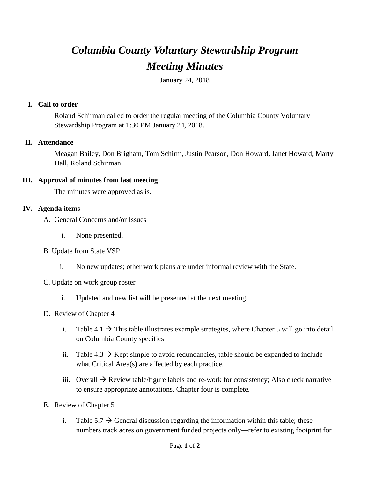# *Columbia County Voluntary Stewardship Program Meeting Minutes*

January 24, 2018

### **I. Call to order**

Roland Schirman called to order the regular meeting of the Columbia County Voluntary Stewardship Program at 1:30 PM January 24, 2018.

#### **II. Attendance**

Meagan Bailey, Don Brigham, Tom Schirm, Justin Pearson, Don Howard, Janet Howard, Marty Hall, Roland Schirman

#### **III. Approval of minutes from last meeting**

The minutes were approved as is.

#### **IV. Agenda items**

- A. General Concerns and/or Issues
	- i. None presented.
- B. Update from State VSP
	- i. No new updates; other work plans are under informal review with the State.
- C. Update on work group roster
	- i. Updated and new list will be presented at the next meeting,
- D. Review of Chapter 4
	- i. Table 4.1  $\rightarrow$  This table illustrates example strategies, where Chapter 5 will go into detail on Columbia County specifics
	- ii. Table  $4.3 \rightarrow$  Kept simple to avoid redundancies, table should be expanded to include what Critical Area(s) are affected by each practice.
	- iii. Overall  $\rightarrow$  Review table/figure labels and re-work for consistency; Also check narrative to ensure appropriate annotations. Chapter four is complete.
- E. Review of Chapter 5
	- i. Table 5.7  $\rightarrow$  General discussion regarding the information within this table; these numbers track acres on government funded projects only—refer to existing footprint for